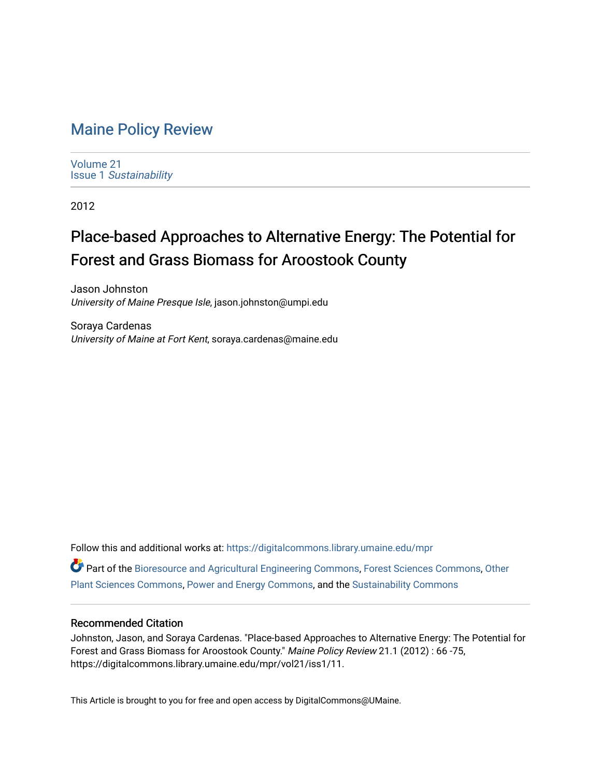## [Maine Policy Review](https://digitalcommons.library.umaine.edu/mpr)

[Volume 21](https://digitalcommons.library.umaine.edu/mpr/vol21) Issue 1 [Sustainability](https://digitalcommons.library.umaine.edu/mpr/vol21/iss1)

2012

# Place-based Approaches to Alternative Energy: The Potential for Forest and Grass Biomass for Aroostook County

Jason Johnston University of Maine Presque Isle, jason.johnston@umpi.edu

Soraya Cardenas University of Maine at Fort Kent, soraya.cardenas@maine.edu

Follow this and additional works at: [https://digitalcommons.library.umaine.edu/mpr](https://digitalcommons.library.umaine.edu/mpr?utm_source=digitalcommons.library.umaine.edu%2Fmpr%2Fvol21%2Fiss1%2F11&utm_medium=PDF&utm_campaign=PDFCoverPages) Part of the [Bioresource and Agricultural Engineering Commons](https://network.bepress.com/hgg/discipline/1056?utm_source=digitalcommons.library.umaine.edu%2Fmpr%2Fvol21%2Fiss1%2F11&utm_medium=PDF&utm_campaign=PDFCoverPages), [Forest Sciences Commons,](https://network.bepress.com/hgg/discipline/90?utm_source=digitalcommons.library.umaine.edu%2Fmpr%2Fvol21%2Fiss1%2F11&utm_medium=PDF&utm_campaign=PDFCoverPages) [Other](https://network.bepress.com/hgg/discipline/109?utm_source=digitalcommons.library.umaine.edu%2Fmpr%2Fvol21%2Fiss1%2F11&utm_medium=PDF&utm_campaign=PDFCoverPages)  [Plant Sciences Commons](https://network.bepress.com/hgg/discipline/109?utm_source=digitalcommons.library.umaine.edu%2Fmpr%2Fvol21%2Fiss1%2F11&utm_medium=PDF&utm_campaign=PDFCoverPages), [Power and Energy Commons,](https://network.bepress.com/hgg/discipline/274?utm_source=digitalcommons.library.umaine.edu%2Fmpr%2Fvol21%2Fiss1%2F11&utm_medium=PDF&utm_campaign=PDFCoverPages) and the [Sustainability Commons](https://network.bepress.com/hgg/discipline/1031?utm_source=digitalcommons.library.umaine.edu%2Fmpr%2Fvol21%2Fiss1%2F11&utm_medium=PDF&utm_campaign=PDFCoverPages)

### Recommended Citation

Johnston, Jason, and Soraya Cardenas. "Place-based Approaches to Alternative Energy: The Potential for Forest and Grass Biomass for Aroostook County." Maine Policy Review 21.1 (2012) : 66 -75, https://digitalcommons.library.umaine.edu/mpr/vol21/iss1/11.

This Article is brought to you for free and open access by DigitalCommons@UMaine.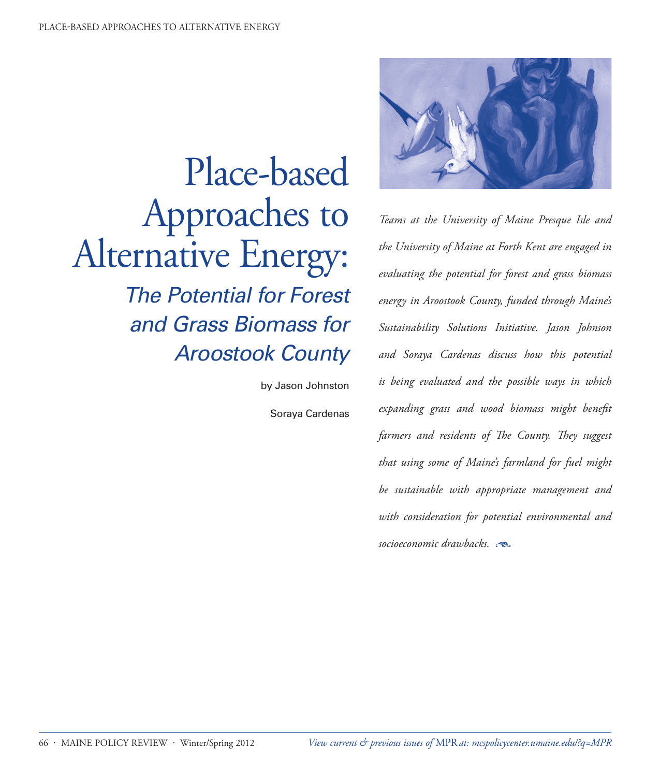

*Teams at the University of Maine Presque Isle and the University of Maine at Forth Kent are engaged in evaluating the potential for forest and grass biomass energy in Aroostook County, funded through Maine's Sustainability Solutions Initiative. Jason Johnson and Soraya Cardenas discuss how this potential is being evaluated and the possible ways in which expanding grass and wood biomass might benefit farmers and residents of The County. They suggest that using some of Maine's farmland for fuel might be sustainable with appropriate management and with consideration for potential environmental and socioeconomic drawbacks.* 

Place-based Approaches to Alternative Energy: *The Potential for Forest and Grass Biomass for Aroostook County*

by Jason Johnston

Soraya Cardenas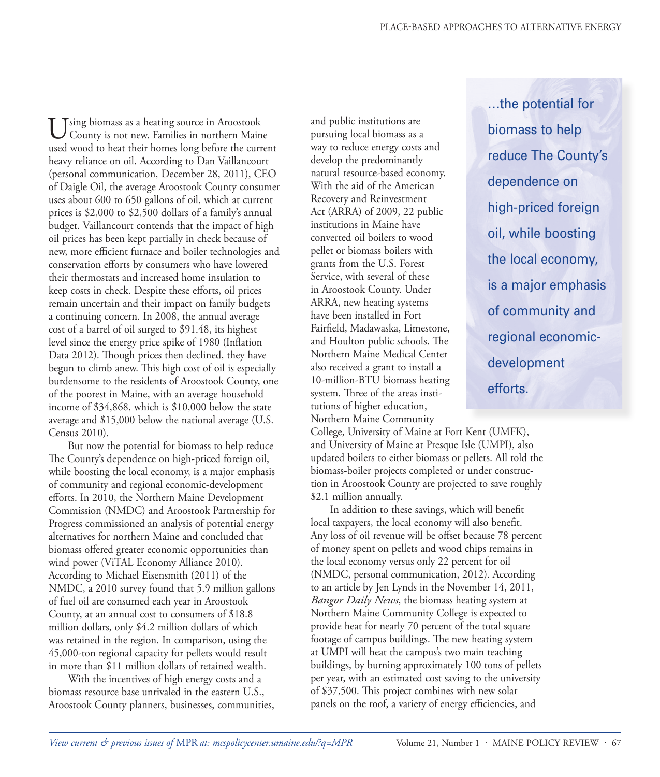…the potential for

reduce The County's

high-priced foreign

oil, while boosting

the local economy,

is a major emphasis

of community and

regional economic-

development

efforts.

biomass to help

dependence on

Using biomass as a heating source in Aroostook<br>County is not new. Families in northern Maine used wood to heat their homes long before the current heavy reliance on oil. According to Dan Vaillancourt (personal communication, December 28, 2011), CEO of Daigle Oil, the average Aroostook County consumer uses about 600 to 650 gallons of oil, which at current prices is \$2,000 to \$2,500 dollars of a family's annual budget. Vaillancourt contends that the impact of high oil prices has been kept partially in check because of new, more efficient furnace and boiler technologies and conservation efforts by consumers who have lowered their thermostats and increased home insulation to keep costs in check. Despite these efforts, oil prices remain uncertain and their impact on family budgets a continuing concern. In 2008, the annual average cost of a barrel of oil surged to \$91.48, its highest level since the energy price spike of 1980 (Inflation Data 2012). Though prices then declined, they have begun to climb anew. This high cost of oil is especially burdensome to the residents of Aroostook County, one of the poorest in Maine, with an average household income of \$34,868, which is \$10,000 below the state average and \$15,000 below the national average (U.S. Census 2010).

But now the potential for biomass to help reduce The County's dependence on high-priced foreign oil, while boosting the local economy, is a major emphasis of community and regional economic-development efforts. In 2010, the Northern Maine Development Commission (NMDC) and Aroostook Partnership for Progress commissioned an analysis of potential energy alternatives for northern Maine and concluded that biomass offered greater economic opportunities than wind power (ViTAL Economy Alliance 2010). According to Michael Eisensmith (2011) of the NMDC, a 2010 survey found that 5.9 million gallons of fuel oil are consumed each year in Aroostook County, at an annual cost to consumers of \$18.8 million dollars, only \$4.2 million dollars of which was retained in the region. In comparison, using the 45,000-ton regional capacity for pellets would result in more than \$11 million dollars of retained wealth.

With the incentives of high energy costs and a biomass resource base unrivaled in the eastern U.S., Aroostook County planners, businesses, communities, and public institutions are pursuing local biomass as a way to reduce energy costs and develop the predominantly natural resource-based economy. With the aid of the American Recovery and Reinvestment Act (ARRA) of 2009, 22 public institutions in Maine have converted oil boilers to wood pellet or biomass boilers with grants from the U.S. Forest Service, with several of these in Aroostook County. Under ARRA, new heating systems have been installed in Fort Fairfield, Madawaska, Limestone, and Houlton public schools. The Northern Maine Medical Center also received a grant to install a 10-million-BTU biomass heating system. Three of the areas institutions of higher education, Northern Maine Community

College, University of Maine at Fort Kent (UMFK), and University of Maine at Presque Isle (UMPI), also updated boilers to either biomass or pellets. All told the biomass-boiler projects completed or under construction in Aroostook County are projected to save roughly \$2.1 million annually.

In addition to these savings, which will benefit local taxpayers, the local economy will also benefit. Any loss of oil revenue will be offset because 78 percent of money spent on pellets and wood chips remains in the local economy versus only 22 percent for oil (NMDC, personal communication, 2012). According to an article by Jen Lynds in the November 14, 2011, *Bangor Daily News*, the biomass heating system at Northern Maine Community College is expected to provide heat for nearly 70 percent of the total square footage of campus buildings. The new heating system at UMPI will heat the campus's two main teaching buildings, by burning approximately 100 tons of pellets per year, with an estimated cost saving to the university of \$37,500. This project combines with new solar panels on the roof, a variety of energy efficiencies, and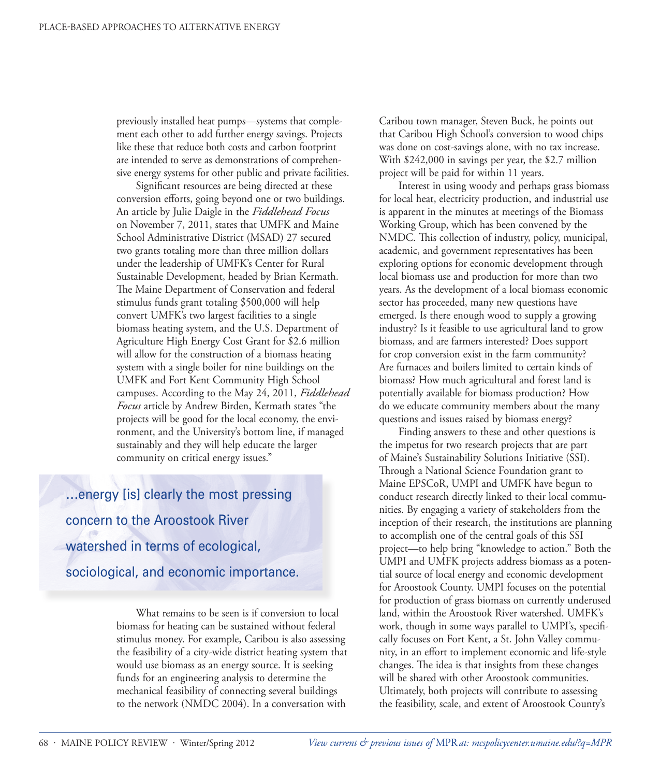previously installed heat pumps—systems that complement each other to add further energy savings. Projects like these that reduce both costs and carbon footprint are intended to serve as demonstrations of comprehensive energy systems for other public and private facilities.

Significant resources are being directed at these conversion efforts, going beyond one or two buildings. An article by Julie Daigle in the *Fiddlehead Focus* on November 7, 2011, states that UMFK and Maine School Administrative District (MSAD) 27 secured two grants totaling more than three million dollars under the leadership of UMFK's Center for Rural Sustainable Development, headed by Brian Kermath. The Maine Department of Conservation and federal stimulus funds grant totaling \$500,000 will help convert UMFK's two largest facilities to a single biomass heating system, and the U.S. Department of Agriculture High Energy Cost Grant for \$2.6 million will allow for the construction of a biomass heating system with a single boiler for nine buildings on the UMFK and Fort Kent Community High School campuses. According to the May 24, 2011, *Fiddlehead Focus* article by Andrew Birden, Kermath states "the projects will be good for the local economy, the environment, and the University's bottom line, if managed sustainably and they will help educate the larger community on critical energy issues."

…energy [is] clearly the most pressing concern to the Aroostook River watershed in terms of ecological, sociological, and economic importance.

> What remains to be seen is if conversion to local biomass for heating can be sustained without federal stimulus money. For example, Caribou is also assessing the feasibility of a city-wide district heating system that would use biomass as an energy source. It is seeking funds for an engineering analysis to determine the mechanical feasibility of connecting several buildings to the network (NMDC 2004). In a conversation with

Caribou town manager, Steven Buck, he points out that Caribou High School's conversion to wood chips was done on cost-savings alone, with no tax increase. With \$242,000 in savings per year, the \$2.7 million project will be paid for within 11 years.

Interest in using woody and perhaps grass biomass for local heat, electricity production, and industrial use is apparent in the minutes at meetings of the Biomass Working Group, which has been convened by the NMDC. This collection of industry, policy, municipal, academic, and government representatives has been exploring options for economic development through local biomass use and production for more than two years. As the development of a local biomass economic sector has proceeded, many new questions have emerged. Is there enough wood to supply a growing industry? Is it feasible to use agricultural land to grow biomass, and are farmers interested? Does support for crop conversion exist in the farm community? Are furnaces and boilers limited to certain kinds of biomass? How much agricultural and forest land is potentially available for biomass production? How do we educate community members about the many questions and issues raised by biomass energy?

Finding answers to these and other questions is the impetus for two research projects that are part of Maine's Sustainability Solutions Initiative (SSI). Through a National Science Foundation grant to Maine EPSCoR, UMPI and UMFK have begun to conduct research directly linked to their local communities. By engaging a variety of stakeholders from the inception of their research, the institutions are planning to accomplish one of the central goals of this SSI project—to help bring "knowledge to action." Both the UMPI and UMFK projects address biomass as a potential source of local energy and economic development for Aroostook County. UMPI focuses on the potential for production of grass biomass on currently underused land, within the Aroostook River watershed. UMFK's work, though in some ways parallel to UMPI's, specifically focuses on Fort Kent, a St. John Valley community, in an effort to implement economic and life-style changes. The idea is that insights from these changes will be shared with other Aroostook communities. Ultimately, both projects will contribute to assessing the feasibility, scale, and extent of Aroostook County's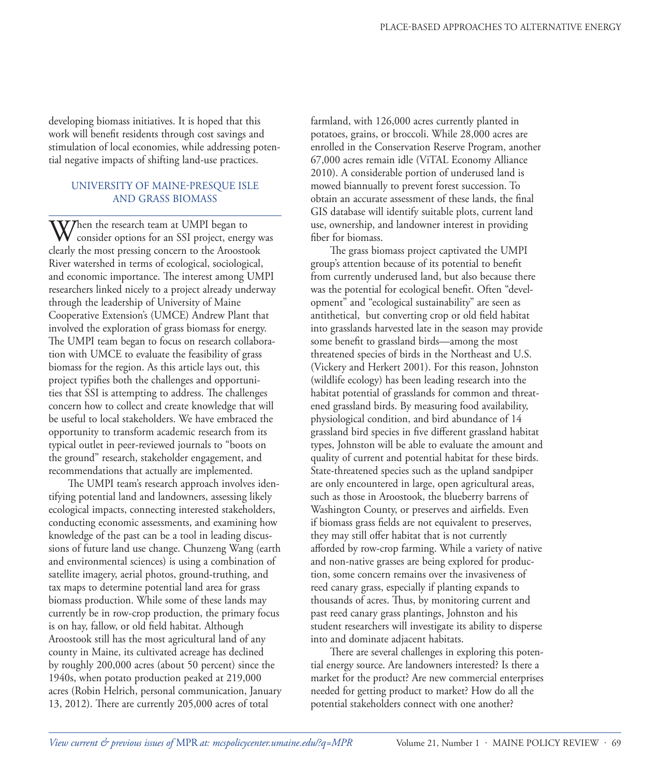developing biomass initiatives. It is hoped that this work will benefit residents through cost savings and stimulation of local economies, while addressing potential negative impacts of shifting land-use practices.

#### UNIVERSITY OF MAINE-PRESQUE ISLE AND GRASS BIOMASS

When the research team at UMPI began to<br>consider options for an SSI project, energy was clearly the most pressing concern to the Aroostook River watershed in terms of ecological, sociological, and economic importance. The interest among UMPI researchers linked nicely to a project already underway through the leadership of University of Maine Cooperative Extension's (UMCE) Andrew Plant that involved the exploration of grass biomass for energy. The UMPI team began to focus on research collaboration with UMCE to evaluate the feasibility of grass biomass for the region. As this article lays out, this project typifies both the challenges and opportunities that SSI is attempting to address. The challenges concern how to collect and create knowledge that will be useful to local stakeholders. We have embraced the opportunity to transform academic research from its typical outlet in peer-reviewed journals to "boots on the ground" research, stakeholder engagement, and recommendations that actually are implemented.

The UMPI team's research approach involves identifying potential land and landowners, assessing likely ecological impacts, connecting interested stakeholders, conducting economic assessments, and examining how knowledge of the past can be a tool in leading discussions of future land use change. Chunzeng Wang (earth and environmental sciences) is using a combination of satellite imagery, aerial photos, ground-truthing, and tax maps to determine potential land area for grass biomass production. While some of these lands may currently be in row-crop production, the primary focus is on hay, fallow, or old field habitat. Although Aroostook still has the most agricultural land of any county in Maine, its cultivated acreage has declined by roughly 200,000 acres (about 50 percent) since the 1940s, when potato production peaked at 219,000 acres (Robin Helrich, personal communication, January 13, 2012). There are currently 205,000 acres of total

farmland, with 126,000 acres currently planted in potatoes, grains, or broccoli. While 28,000 acres are enrolled in the Conservation Reserve Program, another 67,000 acres remain idle (ViTAL Economy Alliance 2010). A considerable portion of underused land is mowed biannually to prevent forest succession. To obtain an accurate assessment of these lands, the final GIS database will identify suitable plots, current land use, ownership, and landowner interest in providing fiber for biomass.

The grass biomass project captivated the UMPI group's attention because of its potential to benefit from currently underused land, but also because there was the potential for ecological benefit. Often "development" and "ecological sustainability" are seen as antithetical, but converting crop or old field habitat into grasslands harvested late in the season may provide some benefit to grassland birds—among the most threatened species of birds in the Northeast and U.S. (Vickery and Herkert 2001). For this reason, Johnston (wildlife ecology) has been leading research into the habitat potential of grasslands for common and threatened grassland birds. By measuring food availability, physiological condition, and bird abundance of 14 grassland bird species in five different grassland habitat types, Johnston will be able to evaluate the amount and quality of current and potential habitat for these birds. State-threatened species such as the upland sandpiper are only encountered in large, open agricultural areas, such as those in Aroostook, the blueberry barrens of Washington County, or preserves and airfields. Even if biomass grass fields are not equivalent to preserves, they may still offer habitat that is not currently afforded by row-crop farming. While a variety of native and non-native grasses are being explored for production, some concern remains over the invasiveness of reed canary grass, especially if planting expands to thousands of acres. Thus, by monitoring current and past reed canary grass plantings, Johnston and his student researchers will investigate its ability to disperse into and dominate adjacent habitats.

There are several challenges in exploring this potential energy source. Are landowners interested? Is there a market for the product? Are new commercial enterprises needed for getting product to market? How do all the potential stakeholders connect with one another?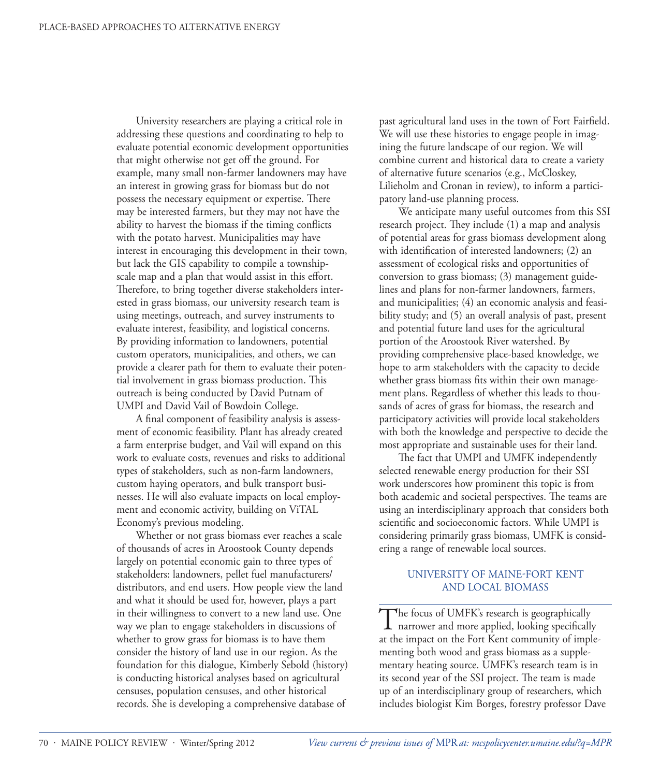University researchers are playing a critical role in addressing these questions and coordinating to help to evaluate potential economic development opportunities that might otherwise not get off the ground. For example, many small non-farmer landowners may have an interest in growing grass for biomass but do not possess the necessary equipment or expertise. There may be interested farmers, but they may not have the ability to harvest the biomass if the timing conflicts with the potato harvest. Municipalities may have interest in encouraging this development in their town, but lack the GIS capability to compile a townshipscale map and a plan that would assist in this effort. Therefore, to bring together diverse stakeholders interested in grass biomass, our university research team is using meetings, outreach, and survey instruments to evaluate interest, feasibility, and logistical concerns. By providing information to landowners, potential custom operators, municipalities, and others, we can provide a clearer path for them to evaluate their potential involvement in grass biomass production. This outreach is being conducted by David Putnam of UMPI and David Vail of Bowdoin College.

A final component of feasibility analysis is assessment of economic feasibility. Plant has already created a farm enterprise budget, and Vail will expand on this work to evaluate costs, revenues and risks to additional types of stakeholders, such as non-farm landowners, custom haying operators, and bulk transport businesses. He will also evaluate impacts on local employment and economic activity, building on ViTAL Economy's previous modeling.

Whether or not grass biomass ever reaches a scale of thousands of acres in Aroostook County depends largely on potential economic gain to three types of stakeholders: landowners, pellet fuel manufacturers/ distributors, and end users. How people view the land and what it should be used for, however, plays a part in their willingness to convert to a new land use. One way we plan to engage stakeholders in discussions of whether to grow grass for biomass is to have them consider the history of land use in our region. As the foundation for this dialogue, Kimberly Sebold (history) is conducting historical analyses based on agricultural censuses, population censuses, and other historical records. She is developing a comprehensive database of

past agricultural land uses in the town of Fort Fairfield. We will use these histories to engage people in imagining the future landscape of our region. We will combine current and historical data to create a variety of alternative future scenarios (e.g., McCloskey, Lilieholm and Cronan in review), to inform a participatory land-use planning process.

We anticipate many useful outcomes from this SSI research project. They include (1) a map and analysis of potential areas for grass biomass development along with identification of interested landowners; (2) an assessment of ecological risks and opportunities of conversion to grass biomass; (3) management guidelines and plans for non-farmer landowners, farmers, and municipalities; (4) an economic analysis and feasibility study; and (5) an overall analysis of past, present and potential future land uses for the agricultural portion of the Aroostook River watershed. By providing comprehensive place-based knowledge, we hope to arm stakeholders with the capacity to decide whether grass biomass fits within their own management plans. Regardless of whether this leads to thousands of acres of grass for biomass, the research and participatory activities will provide local stakeholders with both the knowledge and perspective to decide the most appropriate and sustainable uses for their land.

The fact that UMPI and UMFK independently selected renewable energy production for their SSI work underscores how prominent this topic is from both academic and societal perspectives. The teams are using an interdisciplinary approach that considers both scientific and socioeconomic factors. While UMPI is considering primarily grass biomass, UMFK is considering a range of renewable local sources.

#### UNIVERSITY OF MAINE-FORT KENT AND LOCAL BIOMASS

The focus of UMFK's research is geographically<br>narrower and more applied, looking specifically at the impact on the Fort Kent community of implementing both wood and grass biomass as a supplementary heating source. UMFK's research team is in its second year of the SSI project. The team is made up of an interdisciplinary group of researchers, which includes biologist Kim Borges, forestry professor Dave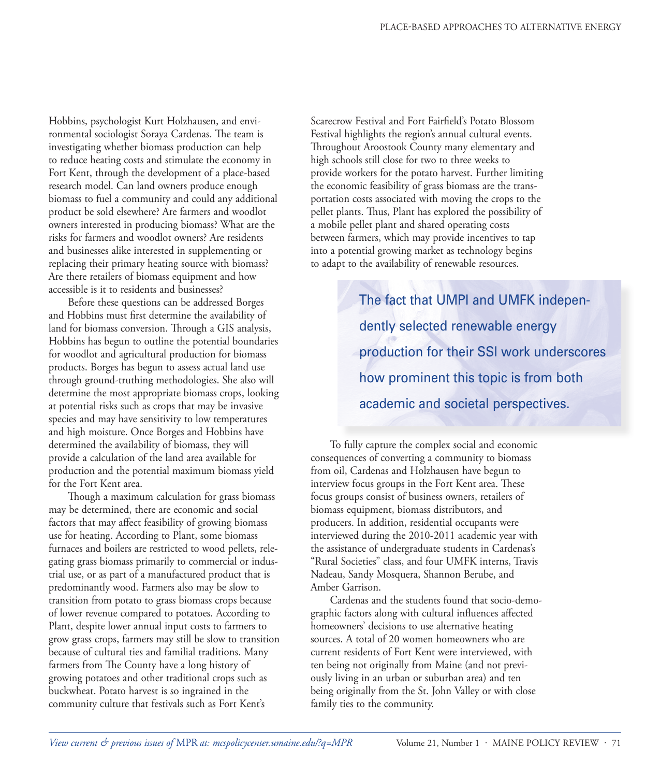Hobbins, psychologist Kurt Holzhausen, and environmental sociologist Soraya Cardenas. The team is investigating whether biomass production can help to reduce heating costs and stimulate the economy in Fort Kent, through the development of a place-based research model. Can land owners produce enough biomass to fuel a community and could any additional product be sold elsewhere? Are farmers and woodlot owners interested in producing biomass? What are the risks for farmers and woodlot owners? Are residents and businesses alike interested in supplementing or replacing their primary heating source with biomass? Are there retailers of biomass equipment and how accessible is it to residents and businesses?

Before these questions can be addressed Borges and Hobbins must first determine the availability of land for biomass conversion. Through a GIS analysis, Hobbins has begun to outline the potential boundaries for woodlot and agricultural production for biomass products. Borges has begun to assess actual land use through ground-truthing methodologies. She also will determine the most appropriate biomass crops, looking at potential risks such as crops that may be invasive species and may have sensitivity to low temperatures and high moisture. Once Borges and Hobbins have determined the availability of biomass, they will provide a calculation of the land area available for production and the potential maximum biomass yield for the Fort Kent area.

Though a maximum calculation for grass biomass may be determined, there are economic and social factors that may affect feasibility of growing biomass use for heating. According to Plant, some biomass furnaces and boilers are restricted to wood pellets, relegating grass biomass primarily to commercial or industrial use, or as part of a manufactured product that is predominantly wood. Farmers also may be slow to transition from potato to grass biomass crops because of lower revenue compared to potatoes. According to Plant, despite lower annual input costs to farmers to grow grass crops, farmers may still be slow to transition because of cultural ties and familial traditions. Many farmers from The County have a long history of growing potatoes and other traditional crops such as buckwheat. Potato harvest is so ingrained in the community culture that festivals such as Fort Kent's

Scarecrow Festival and Fort Fairfield's Potato Blossom Festival highlights the region's annual cultural events. Throughout Aroostook County many elementary and high schools still close for two to three weeks to provide workers for the potato harvest. Further limiting the economic feasibility of grass biomass are the transportation costs associated with moving the crops to the pellet plants. Thus, Plant has explored the possibility of a mobile pellet plant and shared operating costs between farmers, which may provide incentives to tap into a potential growing market as technology begins to adapt to the availability of renewable resources.

> The fact that UMPI and UMFK independently selected renewable energy production for their SSI work underscores how prominent this topic is from both academic and societal perspectives.

To fully capture the complex social and economic consequences of converting a community to biomass from oil, Cardenas and Holzhausen have begun to interview focus groups in the Fort Kent area. These focus groups consist of business owners, retailers of biomass equipment, biomass distributors, and producers. In addition, residential occupants were interviewed during the 2010-2011 academic year with the assistance of undergraduate students in Cardenas's "Rural Societies" class, and four UMFK interns, Travis Nadeau, Sandy Mosquera, Shannon Berube, and Amber Garrison.

Cardenas and the students found that socio-demographic factors along with cultural influences affected homeowners' decisions to use alternative heating sources. A total of 20 women homeowners who are current residents of Fort Kent were interviewed, with ten being not originally from Maine (and not previously living in an urban or suburban area) and ten being originally from the St. John Valley or with close family ties to the community.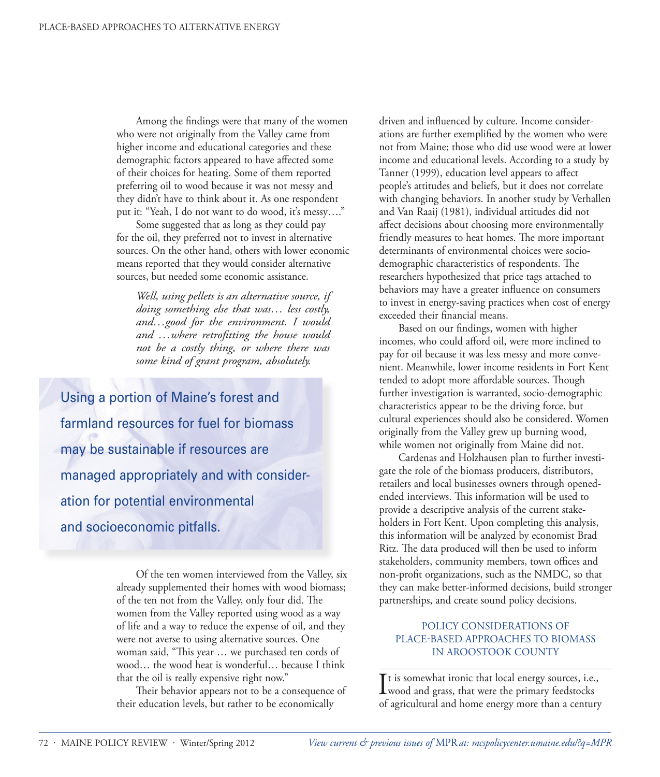Among the findings were that many of the women who were not originally from the Valley came from higher income and educational categories and these demographic factors appeared to have affected some of their choices for heating. Some of them reported preferring oil to wood because it was not messy and they didn't have to think about it. As one respondent put it: "Yeah, I do not want to do wood, it's messy…."

Some suggested that as long as they could pay for the oil, they preferred not to invest in alternative sources. On the other hand, others with lower economic means reported that they would consider alternative sources, but needed some economic assistance.

*Well, using pellets is an alternative source, if doing something else that was… less costly, and…good for the environment. I would and …where retrofitting the house would not be a costly thing, or where there was some kind of grant program, absolutely.* 

Using a portion of Maine's forest and farmland resources for fuel for biomass may be sustainable if resources are managed appropriately and with consideration for potential environmental and socioeconomic pitfalls.

> Of the ten women interviewed from the Valley, six already supplemented their homes with wood biomass; of the ten not from the Valley, only four did. The women from the Valley reported using wood as a way of life and a way to reduce the expense of oil, and they were not averse to using alternative sources. One woman said, "This year … we purchased ten cords of wood… the wood heat is wonderful… because I think that the oil is really expensive right now."

> Their behavior appears not to be a consequence of their education levels, but rather to be economically

driven and influenced by culture. Income considerations are further exemplified by the women who were not from Maine; those who did use wood were at lower income and educational levels. According to a study by Tanner (1999), education level appears to affect people's attitudes and beliefs, but it does not correlate with changing behaviors. In another study by Verhallen and Van Raaij (1981), individual attitudes did not affect decisions about choosing more environmentally friendly measures to heat homes. The more important determinants of environmental choices were sociodemographic characteristics of respondents. The researchers hypothesized that price tags attached to behaviors may have a greater influence on consumers to invest in energy-saving practices when cost of energy exceeded their financial means.

Based on our findings, women with higher incomes, who could afford oil, were more inclined to pay for oil because it was less messy and more convenient. Meanwhile, lower income residents in Fort Kent tended to adopt more affordable sources. Though further investigation is warranted, socio-demographic characteristics appear to be the driving force, but cultural experiences should also be considered. Women originally from the Valley grew up burning wood, while women not originally from Maine did not.

Cardenas and Holzhausen plan to further investigate the role of the biomass producers, distributors, retailers and local businesses owners through openedended interviews. This information will be used to provide a descriptive analysis of the current stakeholders in Fort Kent. Upon completing this analysis, this information will be analyzed by economist Brad Ritz. The data produced will then be used to inform stakeholders, community members, town offices and non-profit organizations, such as the NMDC, so that they can make better-informed decisions, build stronger partnerships, and create sound policy decisions.

#### POLICY CONSIDERATIONS OF PLACE-BASED APPROACHES TO BIOMASS IN AROOSTOOK COUNTY

It is somewhat ironic that local energy sources, i.e.,<br>wood and grass, that were the primary feedstocks wood and grass, that were the primary feedstocks of agricultural and home energy more than a century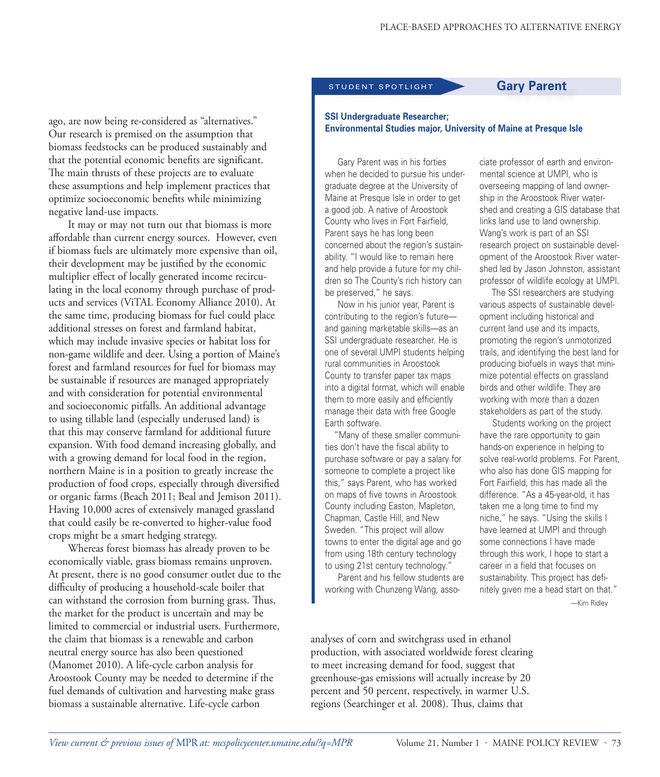#### STUDENT SPOTLIGHT **Gary Parent**

ago, are now being re-considered as "alternatives." Our research is premised on the assumption that biomass feedstocks can be produced sustainably and that the potential economic benefits are significant. The main thrusts of these projects are to evaluate these assumptions and help implement practices that optimize socioeconomic benefits while minimizing negative land-use impacts.

It may or may not turn out that biomass is more affordable than current energy sources. However, even if biomass fuels are ultimately more expensive than oil, their development may be justified by the economic multiplier effect of locally generated income recirculating in the local economy through purchase of products and services (ViTAL Economy Alliance 2010). At the same time, producing biomass for fuel could place additional stresses on forest and farmland habitat, which may include invasive species or habitat loss for non-game wildlife and deer. Using a portion of Maine's forest and farmland resources for fuel for biomass may be sustainable if resources are managed appropriately and with consideration for potential environmental and socioeconomic pitfalls. An additional advantage to using tillable land (especially underused land) is that this may conserve farmland for additional future expansion. With food demand increasing globally, and with a growing demand for local food in the region, northern Maine is in a position to greatly increase the production of food crops, especially through diversified or organic farms (Beach 2011; Beal and Jemison 2011). Having 10,000 acres of extensively managed grassland that could easily be re-converted to higher-value food crops might be a smart hedging strategy.

Whereas forest biomass has already proven to be economically viable, grass biomass remains unproven. At present, there is no good consumer outlet due to the difficulty of producing a household-scale boiler that can withstand the corrosion from burning grass. Thus, the market for the product is uncertain and may be limited to commercial or industrial users. Furthermore, the claim that biomass is a renewable and carbon neutral energy source has also been questioned (Manomet 2010). A life-cycle carbon analysis for Aroostook County may be needed to determine if the fuel demands of cultivation and harvesting make grass biomass a sustainable alternative. Life-cycle carbon

#### **SSI Undergraduate Researcher; Environmental Studies major, University of Maine at Presque Isle**

Gary Parent was in his forties when he decided to pursue his undergraduate degree at the University of Maine at Presque Isle in order to get a good job. A native of Aroostook County who lives in Fort Fairfield, Parent says he has long been concerned about the region's sustainability. "I would like to remain here and help provide a future for my children so The County's rich history can be preserved," he says.

Now in his junior year, Parent is contributing to the region's future and gaining marketable skills—as an SSI undergraduate researcher. He is one of several UMPI students helping rural communities in Aroostook County to transfer paper tax maps into a digital format, which will enable them to more easily and efficiently manage their data with free Google Earth software.

"Many of these smaller communities don't have the fiscal ability to purchase software or pay a salary for someone to complete a project like this," says Parent, who has worked on maps of five towns in Aroostook County including Easton, Mapleton, Chapman, Castle Hill, and New Sweden. "This project will allow towns to enter the digital age and go from using 18th century technology to using 21st century technology."

Parent and his fellow students are working with Chunzeng Wang, associate professor of earth and environmental science at UMPI, who is overseeing mapping of land ownership in the Aroostook River watershed and creating a GIS database that links land use to land ownership. Wang's work is part of an SSI research project on sustainable development of the Aroostook River watershed led by Jason Johnston, assistant professor of wildlife ecology at UMPI.

The SSI researchers are studying various aspects of sustainable development including historical and current land use and its impacts, promoting the region's unmotorized trails, and identifying the best land for producing biofuels in ways that minimize potential effects on grassland birds and other wildlife. They are working with more than a dozen stakeholders as part of the study.

Students working on the project have the rare opportunity to gain hands-on experience in helping to solve real-world problems. For Parent, who also has done GIS mapping for Fort Fairfield, this has made all the difference. "As a 45-year-old, it has taken me a long time to find my niche," he says. "Using the skills I have learned at UMPI and through some connections I have made through this work, I hope to start a career in a field that focuses on sustainability. This project has definitely given me a head start on that."

—Kim Ridley

analyses of corn and switchgrass used in ethanol production, with associated worldwide forest clearing to meet increasing demand for food, suggest that greenhouse-gas emissions will actually increase by 20 percent and 50 percent, respectively, in warmer U.S. regions (Searchinger et al. 2008). Thus, claims that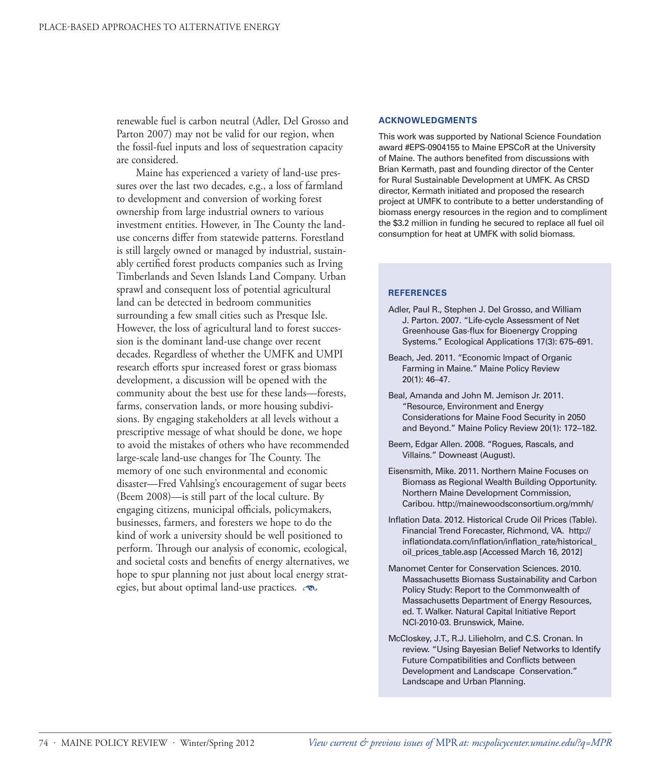renewable fuel is carbon neutral (Adler, Del Grosso and Parton 2007) may not be valid for our region, when the fossil-fuel inputs and loss of sequestration capacity are considered.

Maine has experienced a variety of land-use pressures over the last two decades, e.g., a loss of farmland to development and conversion of working forest ownership from large industrial owners to various investment entities. However, in The County the landuse concerns differ from statewide patterns. Forestland is still largely owned or managed by industrial, sustainably certified forest products companies such as Irving Timberlands and Seven Islands Land Company. Urban sprawl and consequent loss of potential agricultural land can be detected in bedroom communities surrounding a few small cities such as Presque Isle. However, the loss of agricultural land to forest succession is the dominant land-use change over recent decades. Regardless of whether the UMFK and UMPI research efforts spur increased forest or grass biomass development, a discussion will be opened with the community about the best use for these lands—forests, farms, conservation lands, or more housing subdivisions. By engaging stakeholders at all levels without a prescriptive message of what should be done, we hope to avoid the mistakes of others who have recommended large-scale land-use changes for The County. The memory of one such environmental and economic disaster—Fred Vahlsing's encouragement of sugar beets (Beem 2008)—is still part of the local culture. By engaging citizens, municipal officials, policymakers, businesses, farmers, and foresters we hope to do the kind of work a university should be well positioned to perform. Through our analysis of economic, ecological, and societal costs and benefits of energy alternatives, we hope to spur planning not just about local energy strategies, but about optimal land-use practices.  $\infty$ 

#### **ACKNOWLEDGMENTS**

This work was supported by National Science Foundation award #EPS-0904155 to Maine EPSCoR at the University of Maine. The authors benefited from discussions with Brian Kermath, past and founding director of the Center for Rural Sustainable Development at UMFK. As CRSD director, Kermath initiated and proposed the research project at UMFK to contribute to a better understanding of biomass energy resources in the region and to compliment the \$3.2 million in funding he secured to replace all fuel oil consumption for heat at UMFK with solid biomass.

#### **REFERENCES**

- Adler, Paul R., Stephen J. Del Grosso, and William J. Parton. 2007. "Life-cycle Assessment of Net Greenhouse Gas-flux for Bioenergy Cropping Systems." Ecological Applications 17(3): 675–691.
- Beach, Jed. 2011. "Economic Impact of Organic Farming in Maine." Maine Policy Review 20(1): 46–47.
- Beal, Amanda and John M. Jemison Jr. 2011. "Resource, Environment and Energy Considerations for Maine Food Security in 2050 and Beyond." Maine Policy Review 20(1): 172–182.
- Beem, Edgar Allen. 2008. "Rogues, Rascals, and Villains." Downeast (August).
- Eisensmith, Mike. 2011. Northern Maine Focuses on Biomass as Regional Wealth Building Opportunity. Northern Maine Development Commission, Caribou. http://mainewoodsconsortium.org/mmh/
- Inflation Data. 2012. Historical Crude Oil Prices (Table). Financial Trend Forecaster, Richmond, VA. http:// inflationdata.com/inflation/inflation\_rate/historical\_ oil\_prices\_table.asp [Accessed March 16, 2012]
- Manomet Center for Conservation Sciences. 2010. Massachusetts Biomass Sustainability and Carbon Policy Study: Report to the Commonwealth of Massachusetts Department of Energy Resources, ed. T. Walker. Natural Capital Initiative Report NCI-2010-03. Brunswick, Maine.
- McCloskey, J.T., R.J. Lilieholm, and C.S. Cronan. In review. "Using Bayesian Belief Networks to Identify Future Compatibilities and Conflicts between Development and Landscape Conservation." Landscape and Urban Planning.